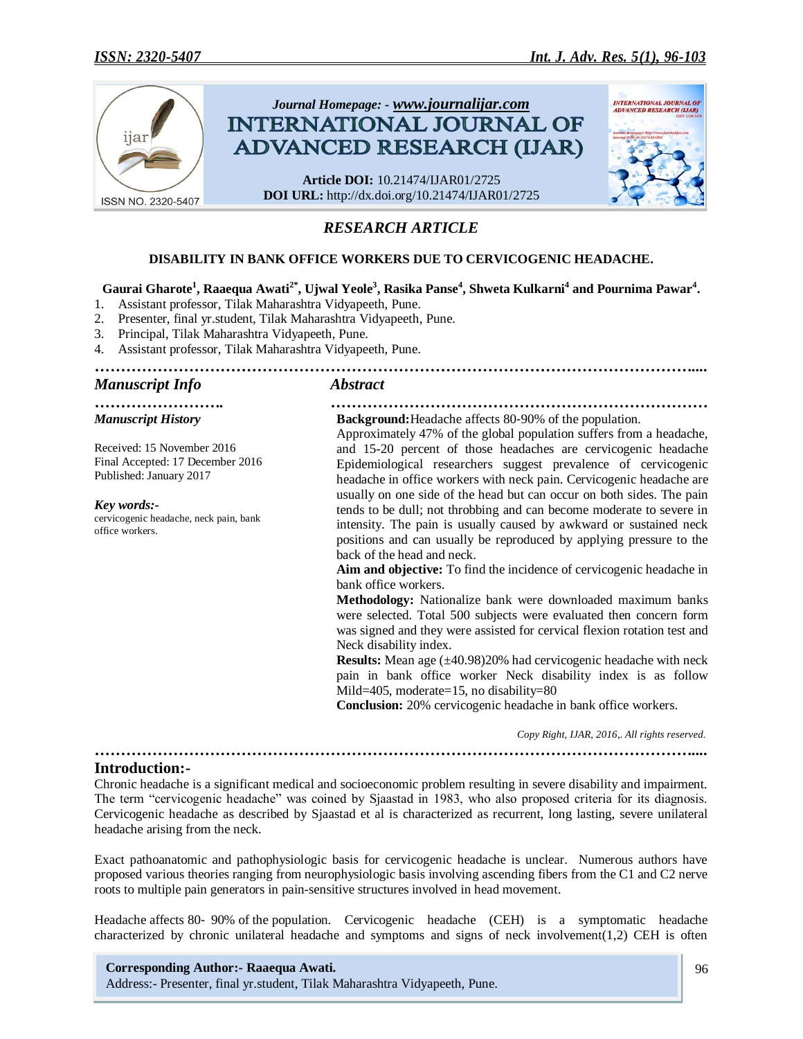

# *RESEARCH ARTICLE*

## **DISABILITY IN BANK OFFICE WORKERS DUE TO CERVICOGENIC HEADACHE.**

## **Gaurai Gharote<sup>1</sup> , Raaequa Awati2\*, Ujwal Yeole<sup>3</sup> , Rasika Panse<sup>4</sup> , Shweta Kulkarni<sup>4</sup> and Pournima Pawar<sup>4</sup> .**

1. Assistant professor, Tilak Maharashtra Vidyapeeth, Pune.

- 2. Presenter, final yr.student, Tilak Maharashtra Vidyapeeth, Pune.
- 3. Principal, Tilak Maharashtra Vidyapeeth, Pune.
- 4. Assistant professor, Tilak Maharashtra Vidyapeeth, Pune.

### *…………………………………………………………………………………………………….... Manuscript Info Abstract*

*Manuscript History*

Received: 15 November 2016 Final Accepted: 17 December 2016 Published: January 2017

*Key words:* cervicogenic headache, neck pain, bank office workers.

#### *……………………. ………………………………………………………………* **Background:**Headache affects 80‐90% of the population.

Approximately 47% of the global population suffers from a headache, and 15-20 percent of those headaches are cervicogenic headache Epidemiological researchers suggest prevalence of cervicogenic headache in office workers with neck pain. Cervicogenic headache are usually on one side of the head but can occur on both sides. The pain tends to be dull; not throbbing and can become moderate to severe in intensity. The pain is usually caused by awkward or sustained neck positions and can usually be reproduced by applying pressure to the back of the head and neck.

**Aim and objective:** To find the incidence of cervicogenic headache in bank office workers.

**Methodology:** Nationalize bank were downloaded maximum banks were selected. Total 500 subjects were evaluated then concern form was signed and they were assisted for cervical flexion rotation test and Neck disability index.

**Results:** Mean age ( $\pm$ 40.98)20% had cervicogenic headache with neck pain in bank office worker Neck disability index is as follow Mild=405, moderate=15, no disability=80

**Conclusion:** 20% cervicogenic headache in bank office workers.

 *Copy Right, IJAR, 2016,. All rights reserved.*

## **Introduction:-**

Chronic headache is a significant medical and socioeconomic problem resulting in severe disability and impairment. The term "cervicogenic headache" was coined by Sjaastad in 1983, who also proposed criteria for its diagnosis. Cervicogenic headache as described by Sjaastad et al is characterized as recurrent, long lasting, severe unilateral headache arising from the neck.

*……………………………………………………………………………………………………....*

Exact pathoanatomic and pathophysiologic basis for cervicogenic headache is unclear. Numerous authors have proposed various theories ranging from neurophysiologic basis involving ascending fibers from the C1 and C2 nerve roots to multiple pain generators in pain-sensitive structures involved in head movement.

Headache affects 80‐ 90% of the population. Cervicogenic headache (CEH) is a symptomatic headache characterized by chronic unilateral headache and symptoms and signs of neck involvement $(1,2)$  CEH is often

## **Corresponding Author:- Raaequa Awati.**

Address:- Presenter, final yr.student, Tilak Maharashtra Vidyapeeth, Pune.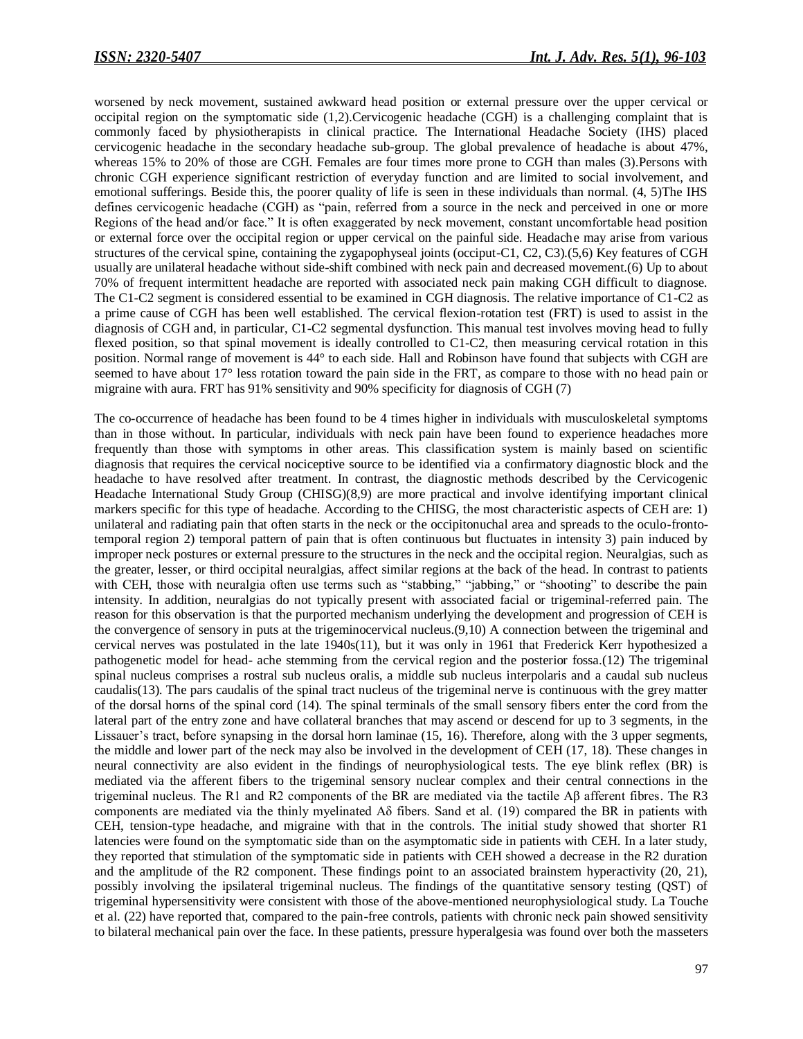worsened by neck movement, sustained awkward head position or external pressure over the upper cervical or occipital region on the symptomatic side (1,2).Cervicogenic headache (CGH) is a challenging complaint that is commonly faced by physiotherapists in clinical practice. The International Headache Society (IHS) placed cervicogenic headache in the secondary headache sub-group. The global prevalence of headache is about 47%, whereas 15% to 20% of those are CGH. Females are four times more prone to CGH than males (3). Persons with chronic CGH experience significant restriction of everyday function and are limited to social involvement, and emotional sufferings. Beside this, the poorer quality of life is seen in these individuals than normal. (4, 5)The IHS defines cervicogenic headache (CGH) as "pain, referred from a source in the neck and perceived in one or more Regions of the head and/or face." It is often exaggerated by neck movement, constant uncomfortable head position or external force over the occipital region or upper cervical on the painful side. Headache may arise from various structures of the cervical spine, containing the zygapophyseal joints (occiput-C1, C2, C3).(5,6) Key features of CGH usually are unilateral headache without side-shift combined with neck pain and decreased movement.(6) Up to about 70% of frequent intermittent headache are reported with associated neck pain making CGH difficult to diagnose. The C1-C2 segment is considered essential to be examined in CGH diagnosis. The relative importance of C1-C2 as a prime cause of CGH has been well established. The cervical flexion-rotation test (FRT) is used to assist in the diagnosis of CGH and, in particular, C1-C2 segmental dysfunction. This manual test involves moving head to fully flexed position, so that spinal movement is ideally controlled to C1-C2, then measuring cervical rotation in this position. Normal range of movement is 44° to each side. Hall and Robinson have found that subjects with CGH are seemed to have about 17° less rotation toward the pain side in the FRT, as compare to those with no head pain or migraine with aura. FRT has 91% sensitivity and 90% specificity for diagnosis of CGH (7)

The co-occurrence of headache has been found to be 4 times higher in individuals with musculoskeletal symptoms than in those without. In particular, individuals with neck pain have been found to experience headaches more frequently than those with symptoms in other areas. This classification system is mainly based on scientific diagnosis that requires the cervical nociceptive source to be identified via a confirmatory diagnostic block and the headache to have resolved after treatment. In contrast, the diagnostic methods described by the Cervicogenic Headache International Study Group (CHISG)(8,9) are more practical and involve identifying important clinical markers specific for this type of headache. According to the CHISG, the most characteristic aspects of CEH are: 1) unilateral and radiating pain that often starts in the neck or the occipitonuchal area and spreads to the oculo-frontotemporal region 2) temporal pattern of pain that is often continuous but fluctuates in intensity 3) pain induced by improper neck postures or external pressure to the structures in the neck and the occipital region. Neuralgias, such as the greater, lesser, or third occipital neuralgias, affect similar regions at the back of the head. In contrast to patients with CEH, those with neuralgia often use terms such as "stabbing," "jabbing," or "shooting" to describe the pain intensity. In addition, neuralgias do not typically present with associated facial or trigeminal-referred pain. The reason for this observation is that the purported mechanism underlying the development and progression of CEH is the convergence of sensory in puts at the trigeminocervical nucleus.(9,10) A connection between the trigeminal and cervical nerves was postulated in the late 1940s(11), but it was only in 1961 that Frederick Kerr hypothesized a pathogenetic model for head- ache stemming from the cervical region and the posterior fossa.(12) The trigeminal spinal nucleus comprises a rostral sub nucleus oralis, a middle sub nucleus interpolaris and a caudal sub nucleus caudalis(13). The pars caudalis of the spinal tract nucleus of the trigeminal nerve is continuous with the grey matter of the dorsal horns of the spinal cord (14). The spinal terminals of the small sensory fibers enter the cord from the lateral part of the entry zone and have collateral branches that may ascend or descend for up to 3 segments, in the Lissauer's tract, before synapsing in the dorsal horn laminae (15, 16). Therefore, along with the 3 upper segments, the middle and lower part of the neck may also be involved in the development of CEH (17, 18). These changes in neural connectivity are also evident in the findings of neurophysiological tests. The eye blink reflex (BR) is mediated via the afferent fibers to the trigeminal sensory nuclear complex and their central connections in the trigeminal nucleus. The R1 and R2 components of the BR are mediated via the tactile Aβ afferent fibres. The R3 components are mediated via the thinly myelinated Aδ fibers. Sand et al. (19) compared the BR in patients with CEH, tension-type headache, and migraine with that in the controls. The initial study showed that shorter R1 latencies were found on the symptomatic side than on the asymptomatic side in patients with CEH. In a later study, they reported that stimulation of the symptomatic side in patients with CEH showed a decrease in the R2 duration and the amplitude of the R2 component. These findings point to an associated brainstem hyperactivity (20, 21), possibly involving the ipsilateral trigeminal nucleus. The findings of the quantitative sensory testing (QST) of trigeminal hypersensitivity were consistent with those of the above-mentioned neurophysiological study. La Touche et al. (22) have reported that, compared to the pain-free controls, patients with chronic neck pain showed sensitivity to bilateral mechanical pain over the face. In these patients, pressure hyperalgesia was found over both the masseters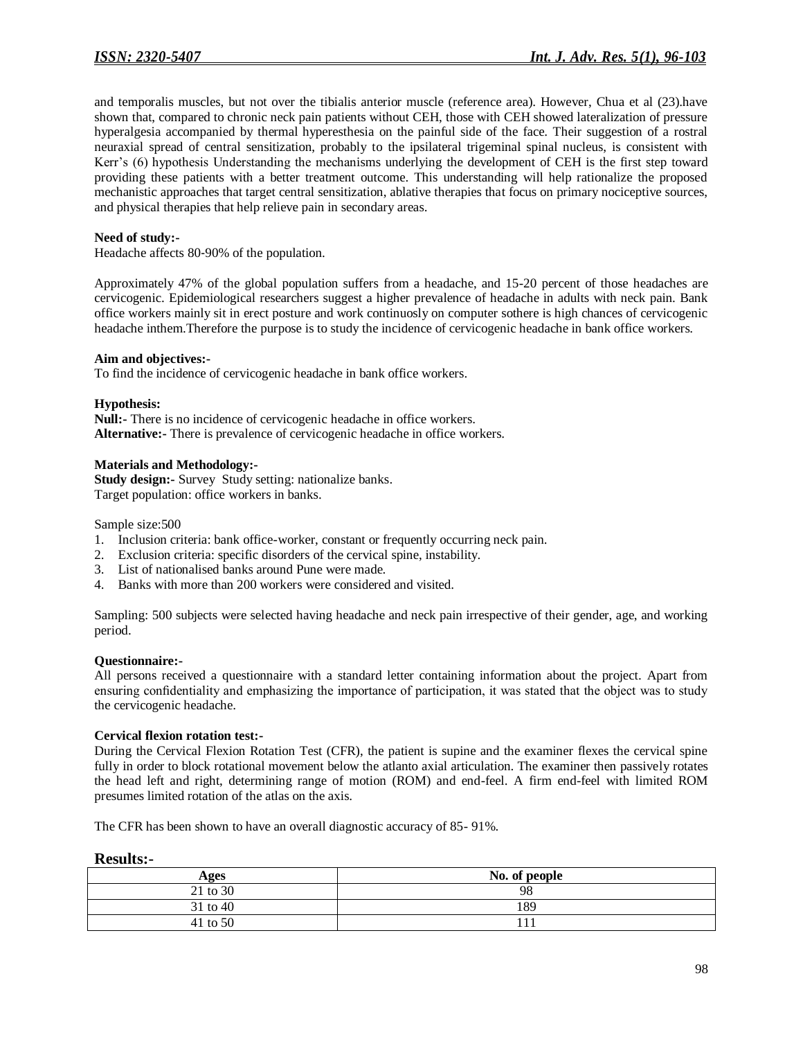and temporalis muscles, but not over the tibialis anterior muscle (reference area). However, Chua et al (23).have shown that, compared to chronic neck pain patients without CEH, those with CEH showed lateralization of pressure hyperalgesia accompanied by thermal hyperesthesia on the painful side of the face. Their suggestion of a rostral neuraxial spread of central sensitization, probably to the ipsilateral trigeminal spinal nucleus, is consistent with Kerr's (6) hypothesis Understanding the mechanisms underlying the development of CEH is the first step toward providing these patients with a better treatment outcome. This understanding will help rationalize the proposed mechanistic approaches that target central sensitization, ablative therapies that focus on primary nociceptive sources, and physical therapies that help relieve pain in secondary areas.

### **Need of study:-**

Headache affects 80‐90% of the population.

Approximately 47% of the global population suffers from a headache, and 15-20 percent of those headaches are cervicogenic. Epidemiological researchers suggest a higher prevalence of headache in adults with neck pain. Bank office workers mainly sit in erect posture and work continuosly on computer sothere is high chances of cervicogenic headache inthem.Therefore the purpose is to study the incidence of cervicogenic headache in bank office workers.

#### **Aim and objectives:-**

To find the incidence of cervicogenic headache in bank office workers.

#### **Hypothesis:**

**Null:-** There is no incidence of cervicogenic headache in office workers. **Alternative:-** There is prevalence of cervicogenic headache in office workers.

#### **Materials and Methodology:-**

**Study design:-** Survey Study setting: nationalize banks. Target population: office workers in banks.

Sample size:500

- 1. Inclusion criteria: bank office-worker, constant or frequently occurring neck pain.
- 2. Exclusion criteria: specific disorders of the cervical spine, instability.
- 3. List of nationalised banks around Pune were made.
- 4. Banks with more than 200 workers were considered and visited.

Sampling: 500 subjects were selected having headache and neck pain irrespective of their gender, age, and working period.

#### **Questionnaire:-**

All persons received a questionnaire with a standard letter containing information about the project. Apart from ensuring confidentiality and emphasizing the importance of participation, it was stated that the object was to study the cervicogenic headache.

#### **Cervical flexion rotation test:-**

During the Cervical Flexion Rotation Test (CFR), the patient is supine and the examiner flexes the cervical spine fully in order to block rotational movement below the atlanto axial articulation. The examiner then passively rotates the head left and right, determining range of motion (ROM) and end-feel. A firm end-feel with limited ROM presumes limited rotation of the atlas on the axis.

The CFR has been shown to have an overall diagnostic accuracy of 85- 91%.

#### **Results:-**

| Ages     | No. of people |
|----------|---------------|
| 21 to 30 | 98            |
| 31 to 40 | 189           |
| 41 to 50 |               |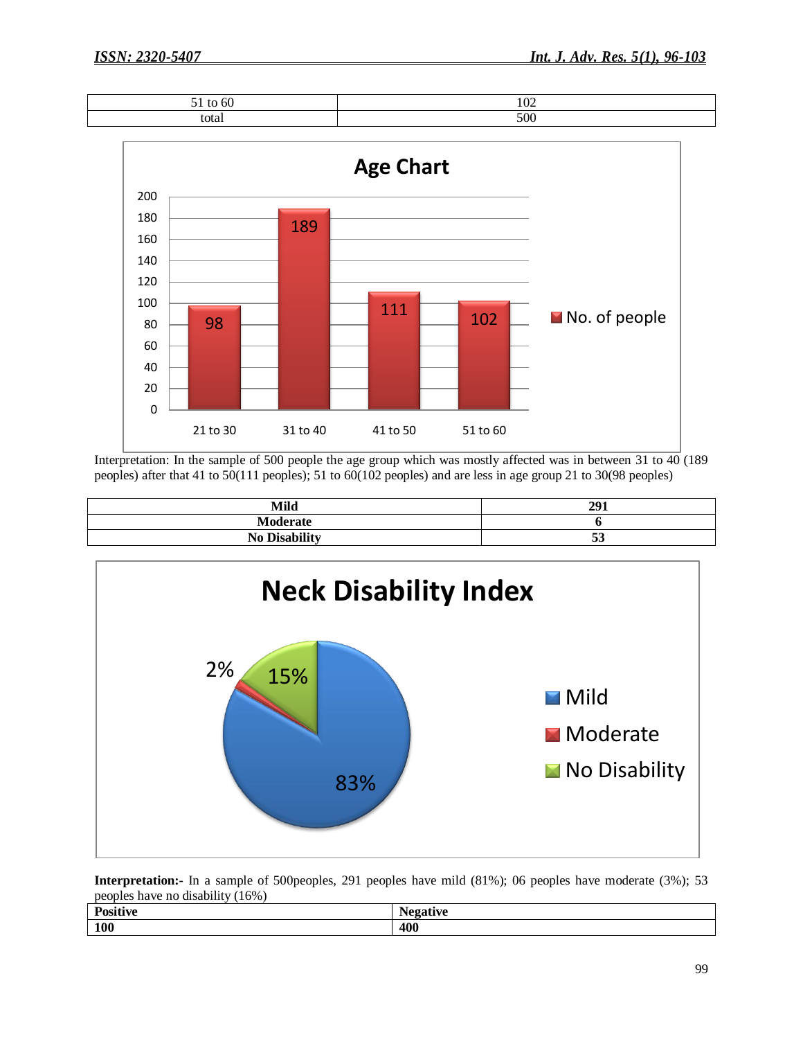| - -<br>--<br>to 60<br>◡ | 102 |
|-------------------------|-----|
| total                   | 500 |



Interpretation: In the sample of 500 people the age group which was mostly affected was in between 31 to 40 (189 peoples) after that 41 to 50(111 peoples); 51 to 60(102 peoples) and are less in age group 21 to 30(98 peoples)

| <b>Mild</b>          | 291         |
|----------------------|-------------|
| Moderate             |             |
| <b>No Disability</b> | $\sim$<br>ັ |



**Interpretation:-** In a sample of 500peoples, 291 peoples have mild (81%); 06 peoples have moderate (3%); 53 peoples have no disability (16%)

| $\mathbf{r}$<br>$\cdot \cdot$<br>'ositive | $-10000$<br>1 T 7 C |
|-------------------------------------------|---------------------|
| <b>100</b>                                | 400                 |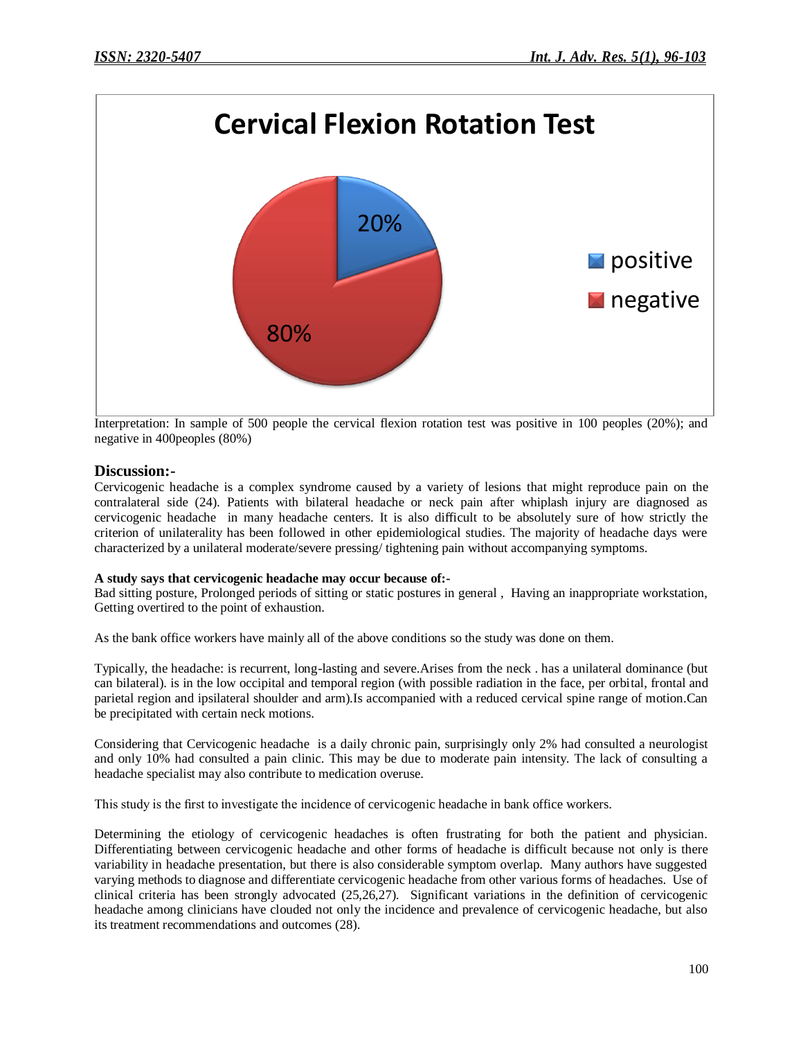

Interpretation: In sample of 500 people the cervical flexion rotation test was positive in 100 peoples (20%); and negative in 400peoples (80%)

## **Discussion:-**

Cervicogenic headache is a complex syndrome caused by a variety of lesions that might reproduce pain on the contralateral side (24). Patients with bilateral headache or neck pain after whiplash injury are diagnosed as cervicogenic headache in many headache centers. It is also difficult to be absolutely sure of how strictly the criterion of unilaterality has been followed in other epidemiological studies. The majority of headache days were characterized by a unilateral moderate/severe pressing/ tightening pain without accompanying symptoms.

## **A study says that cervicogenic headache may occur because of:-**

Bad sitting posture, Prolonged periods of sitting or static postures in general , Having an inappropriate workstation, Getting overtired to the point of exhaustion.

As the bank office workers have mainly all of the above conditions so the study was done on them.

Typically, the headache: is recurrent, long-lasting and severe.Arises from the neck . has a unilateral dominance (but can bilateral). is in the low occipital and temporal region (with possible radiation in the face, per orbital, frontal and parietal region and ipsilateral shoulder and arm).Is accompanied with a reduced cervical spine range of motion.Can be precipitated with certain neck motions.

Considering that Cervicogenic headache is a daily chronic pain, surprisingly only 2% had consulted a neurologist and only 10% had consulted a pain clinic. This may be due to moderate pain intensity. The lack of consulting a headache specialist may also contribute to medication overuse.

This study is the first to investigate the incidence of cervicogenic headache in bank office workers.

Determining the etiology of cervicogenic headaches is often frustrating for both the patient and physician. Differentiating between cervicogenic headache and other forms of headache is difficult because not only is there variability in headache presentation, but there is also considerable symptom overlap. Many authors have suggested varying methods to diagnose and differentiate cervicogenic headache from other various forms of headaches. Use of clinical criteria has been strongly advocated (25,26,27). Significant variations in the definition of cervicogenic headache among clinicians have clouded not only the incidence and prevalence of cervicogenic headache, but also its treatment recommendations and outcomes (28).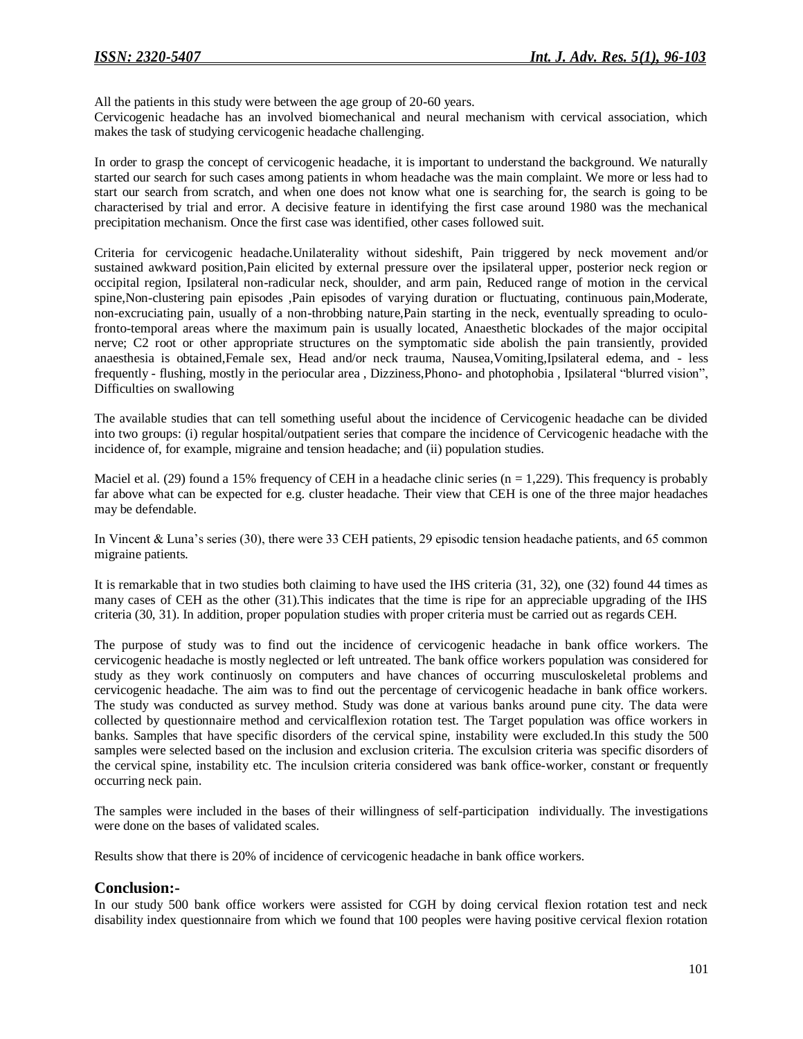All the patients in this study were between the age group of 20-60 years.

Cervicogenic headache has an involved biomechanical and neural mechanism with cervical association, which makes the task of studying cervicogenic headache challenging.

In order to grasp the concept of cervicogenic headache, it is important to understand the background. We naturally started our search for such cases among patients in whom headache was the main complaint. We more or less had to start our search from scratch, and when one does not know what one is searching for, the search is going to be characterised by trial and error. A decisive feature in identifying the first case around 1980 was the mechanical precipitation mechanism. Once the first case was identified, other cases followed suit.

Criteria for cervicogenic headache.Unilaterality without sideshift, Pain triggered by neck movement and/or sustained awkward position,Pain elicited by external pressure over the ipsilateral upper, posterior neck region or occipital region, Ipsilateral non-radicular neck, shoulder, and arm pain, Reduced range of motion in the cervical spine,Non-clustering pain episodes ,Pain episodes of varying duration or fluctuating, continuous pain,Moderate, non-excruciating pain, usually of a non-throbbing nature,Pain starting in the neck, eventually spreading to oculofronto-temporal areas where the maximum pain is usually located, Anaesthetic blockades of the major occipital nerve; C2 root or other appropriate structures on the symptomatic side abolish the pain transiently, provided anaesthesia is obtained,Female sex, Head and/or neck trauma, Nausea,Vomiting,Ipsilateral edema, and - less frequently - flushing, mostly in the periocular area , Dizziness,Phono- and photophobia , Ipsilateral "blurred vision", Difficulties on swallowing

The available studies that can tell something useful about the incidence of Cervicogenic headache can be divided into two groups: (i) regular hospital/outpatient series that compare the incidence of Cervicogenic headache with the incidence of, for example, migraine and tension headache; and (ii) population studies.

Maciel et al. (29) found a 15% frequency of CEH in a headache clinic series ( $n = 1,229$ ). This frequency is probably far above what can be expected for e.g. cluster headache. Their view that CEH is one of the three major headaches may be defendable.

In Vincent & Luna's series (30), there were 33 CEH patients, 29 episodic tension headache patients, and 65 common migraine patients.

It is remarkable that in two studies both claiming to have used the IHS criteria (31, 32), one (32) found 44 times as many cases of CEH as the other (31).This indicates that the time is ripe for an appreciable upgrading of the IHS criteria (30, 31). In addition, proper population studies with proper criteria must be carried out as regards CEH.

The purpose of study was to find out the incidence of cervicogenic headache in bank office workers. The cervicogenic headache is mostly neglected or left untreated. The bank office workers population was considered for study as they work continuosly on computers and have chances of occurring musculoskeletal problems and cervicogenic headache. The aim was to find out the percentage of cervicogenic headache in bank office workers. The study was conducted as survey method. Study was done at various banks around pune city. The data were collected by questionnaire method and cervicalflexion rotation test. The Target population was office workers in banks. Samples that have specific disorders of the cervical spine, instability were excluded.In this study the 500 samples were selected based on the inclusion and exclusion criteria. The exculsion criteria was specific disorders of the cervical spine, instability etc. The inculsion criteria considered was bank office-worker, constant or frequently occurring neck pain.

The samples were included in the bases of their willingness of self-participation individually. The investigations were done on the bases of validated scales.

Results show that there is 20% of incidence of cervicogenic headache in bank office workers.

## **Conclusion:-**

In our study 500 bank office workers were assisted for CGH by doing cervical flexion rotation test and neck disability index questionnaire from which we found that 100 peoples were having positive cervical flexion rotation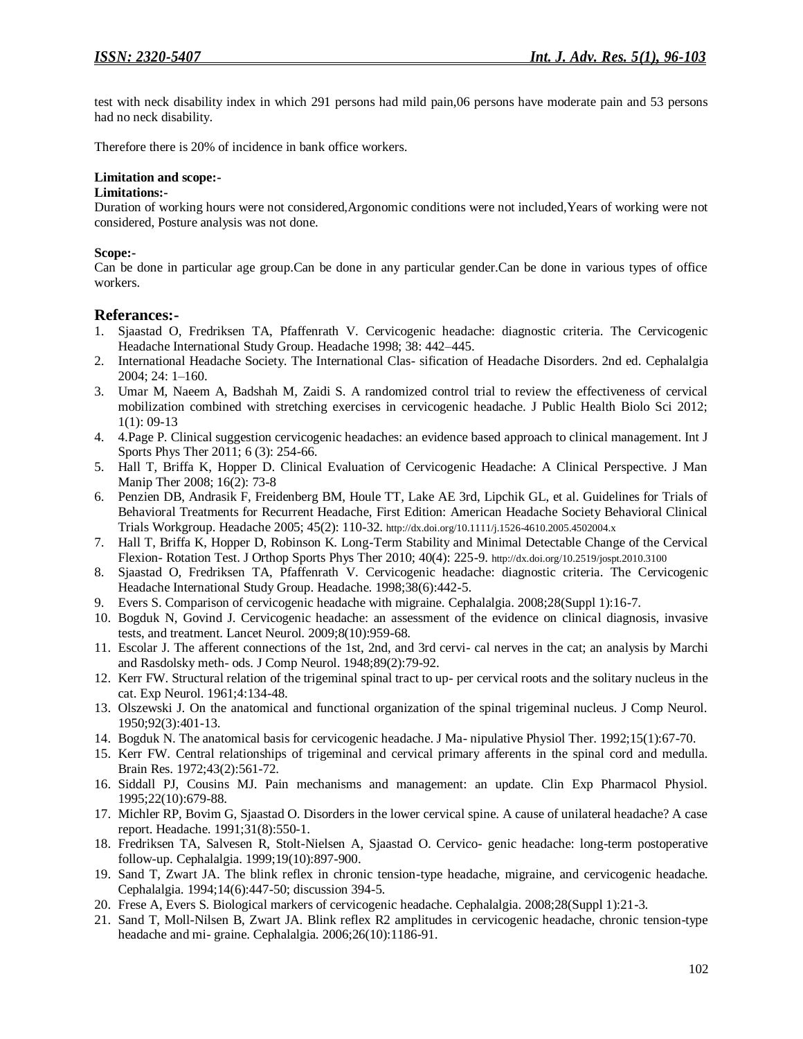test with neck disability index in which 291 persons had mild pain,06 persons have moderate pain and 53 persons had no neck disability.

Therefore there is 20% of incidence in bank office workers.

## **Limitation and scope:-**

#### **Limitations:-**

Duration of working hours were not considered,Argonomic conditions were not included,Years of working were not considered, Posture analysis was not done.

## **Scope:-**

Can be done in particular age group.Can be done in any particular gender.Can be done in various types of office workers.

## **Referances:-**

- 1. Sjaastad O, Fredriksen TA, Pfaffenrath V. Cervicogenic headache: diagnostic criteria. The Cervicogenic Headache International Study Group. Headache 1998; 38: 442–445.
- 2. International Headache Society. The International Clas- sification of Headache Disorders. 2nd ed. Cephalalgia 2004; 24: 1–160.
- 3. Umar M, Naeem A, Badshah M, Zaidi S. A randomized control trial to review the effectiveness of cervical mobilization combined with stretching exercises in cervicogenic headache. J Public Health Biolo Sci 2012; 1(1): 09-13
- 4. 4.Page P. Clinical suggestion cervicogenic headaches: an evidence based approach to clinical management. Int J Sports Phys Ther 2011; 6 (3): 254-66.
- 5. Hall T, Briffa K, Hopper D. Clinical Evaluation of Cervicogenic Headache: A Clinical Perspective. J Man Manip Ther 2008; 16(2): 73-8
- 6. Penzien DB, Andrasik F, Freidenberg BM, Houle TT, Lake AE 3rd, Lipchik GL, et al. Guidelines for Trials of Behavioral Treatments for Recurrent Headache, First Edition: American Headache Society Behavioral Clinical Trials Workgroup. Headache 2005; 45(2): 110-32. <http://dx.doi.org/10.1111/j.1526-4610.2005.4502004.x>
- 7. Hall T, Briffa K, Hopper D, Robinson K. Long-Term Stability and Minimal Detectable Change of the Cervical Flexion- Rotation Test. J Orthop Sports Phys Ther 2010; 40(4): 225-9. <http://dx.doi.org/10.2519/jospt.2010.3100>
- 8. Sjaastad O, Fredriksen TA, Pfaffenrath V. Cervicogenic headache: diagnostic criteria. The Cervicogenic Headache International Study Group. Headache. 1998;38(6):442-5.
- 9. Evers S. Comparison of cervicogenic headache with migraine. Cephalalgia. 2008;28(Suppl 1):16-7.
- 10. Bogduk N, Govind J. Cervicogenic headache: an assessment of the evidence on clinical diagnosis, invasive tests, and treatment. Lancet Neurol. 2009;8(10):959-68.
- 11. Escolar J. The afferent connections of the 1st, 2nd, and 3rd cervi- cal nerves in the cat; an analysis by Marchi and Rasdolsky meth- ods. J Comp Neurol. 1948;89(2):79-92.
- 12. Kerr FW. Structural relation of the trigeminal spinal tract to up- per cervical roots and the solitary nucleus in the cat. Exp Neurol. 1961;4:134-48.
- 13. Olszewski J. On the anatomical and functional organization of the spinal trigeminal nucleus. J Comp Neurol. 1950;92(3):401-13.
- 14. Bogduk N. The anatomical basis for cervicogenic headache. J Ma- nipulative Physiol Ther. 1992;15(1):67-70.
- 15. Kerr FW. Central relationships of trigeminal and cervical primary afferents in the spinal cord and medulla. Brain Res. 1972;43(2):561-72.
- 16. Siddall PJ, Cousins MJ. Pain mechanisms and management: an update. Clin Exp Pharmacol Physiol. 1995;22(10):679-88.
- 17. Michler RP, Bovim G, Sjaastad O. Disorders in the lower cervical spine. A cause of unilateral headache? A case report. Headache. 1991;31(8):550-1.
- 18. Fredriksen TA, Salvesen R, Stolt-Nielsen A, Sjaastad O. Cervico- genic headache: long-term postoperative follow-up. Cephalalgia. 1999;19(10):897-900.
- 19. Sand T, Zwart JA. The blink reflex in chronic tension-type headache, migraine, and cervicogenic headache. Cephalalgia. 1994;14(6):447-50; discussion 394-5.
- 20. Frese A, Evers S. Biological markers of cervicogenic headache. Cephalalgia. 2008;28(Suppl 1):21-3.
- 21. Sand T, Moll-Nilsen B, Zwart JA. Blink reflex R2 amplitudes in cervicogenic headache, chronic tension-type headache and mi- graine. Cephalalgia. 2006;26(10):1186-91.